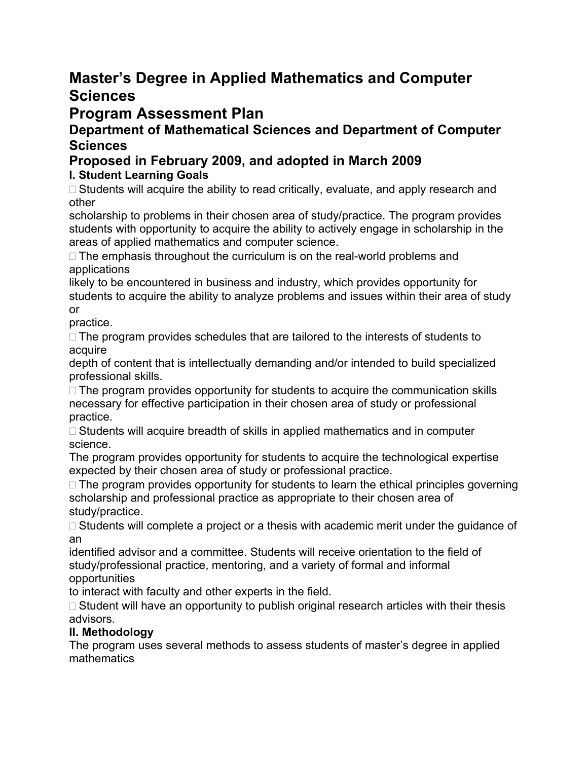## **Master's Degree in Applied Mathematics and Computer Sciences**

# **Program Assessment Plan**

### **Department of Mathematical Sciences and Department of Computer Sciences**

## **Proposed in February 2009, and adopted in March 2009**

## **I. Student Learning Goals**

 $\Box$  Students will acquire the ability to read critically, evaluate, and apply research and other

scholarship to problems in their chosen area of study/practice. The program provides students with opportunity to acquire the ability to actively engage in scholarship in the areas of applied mathematics and computer science.

 $\Box$  The emphasis throughout the curriculum is on the real-world problems and applications

likely to be encountered in business and industry, which provides opportunity for students to acquire the ability to analyze problems and issues within their area of study or

practice.

 $\Box$  The program provides schedules that are tailored to the interests of students to acquire

depth of content that is intellectually demanding and/or intended to build specialized professional skills.

 $\Box$  The program provides opportunity for students to acquire the communication skills necessary for effective participation in their chosen area of study or professional practice.

 $\Box$  Students will acquire breadth of skills in applied mathematics and in computer science.

The program provides opportunity for students to acquire the technological expertise expected by their chosen area of study or professional practice.

 $\Box$  The program provides opportunity for students to learn the ethical principles governing scholarship and professional practice as appropriate to their chosen area of study/practice.

 $\Box$  Students will complete a project or a thesis with academic merit under the guidance of an

identified advisor and a committee. Students will receive orientation to the field of study/professional practice, mentoring, and a variety of formal and informal opportunities

to interact with faculty and other experts in the field.

 $\Box$  Student will have an opportunity to publish original research articles with their thesis advisors.

#### **II. Methodology**

The program uses several methods to assess students of master's degree in applied mathematics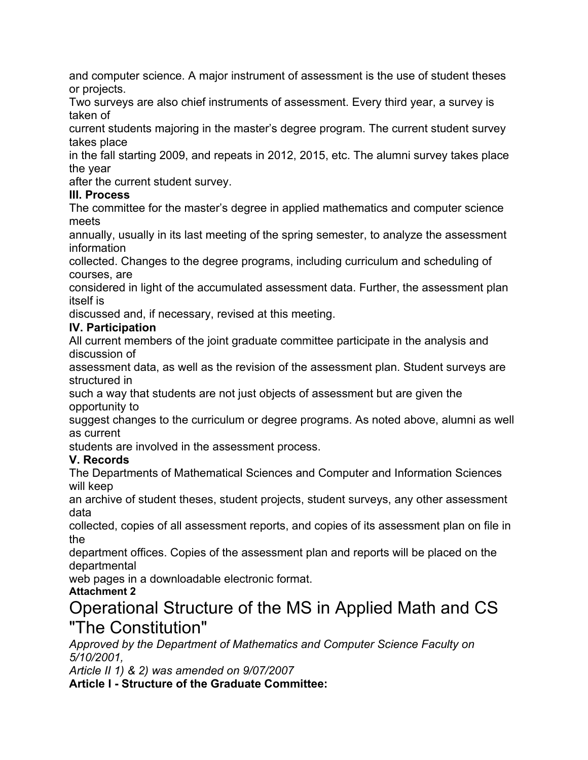and computer science. A major instrument of assessment is the use of student theses or projects.

Two surveys are also chief instruments of assessment. Every third year, a survey is taken of

current students majoring in the master's degree program. The current student survey takes place

in the fall starting 2009, and repeats in 2012, 2015, etc. The alumni survey takes place the year

after the current student survey.

#### **III. Process**

The committee for the master's degree in applied mathematics and computer science meets

annually, usually in its last meeting of the spring semester, to analyze the assessment information

collected. Changes to the degree programs, including curriculum and scheduling of courses, are

considered in light of the accumulated assessment data. Further, the assessment plan itself is

discussed and, if necessary, revised at this meeting.

#### **IV. Participation**

All current members of the joint graduate committee participate in the analysis and discussion of

assessment data, as well as the revision of the assessment plan. Student surveys are structured in

such a way that students are not just objects of assessment but are given the opportunity to

suggest changes to the curriculum or degree programs. As noted above, alumni as well as current

students are involved in the assessment process.

#### **V. Records**

The Departments of Mathematical Sciences and Computer and Information Sciences will keep

an archive of student theses, student projects, student surveys, any other assessment data

collected, copies of all assessment reports, and copies of its assessment plan on file in the

department offices. Copies of the assessment plan and reports will be placed on the departmental

web pages in a downloadable electronic format.

## **Attachment 2**

# Operational Structure of the MS in Applied Math and CS "The Constitution"

*Approved by the Department of Mathematics and Computer Science Faculty on 5/10/2001,* 

*Article II 1) & 2) was amended on 9/07/2007* 

**Article I - Structure of the Graduate Committee:**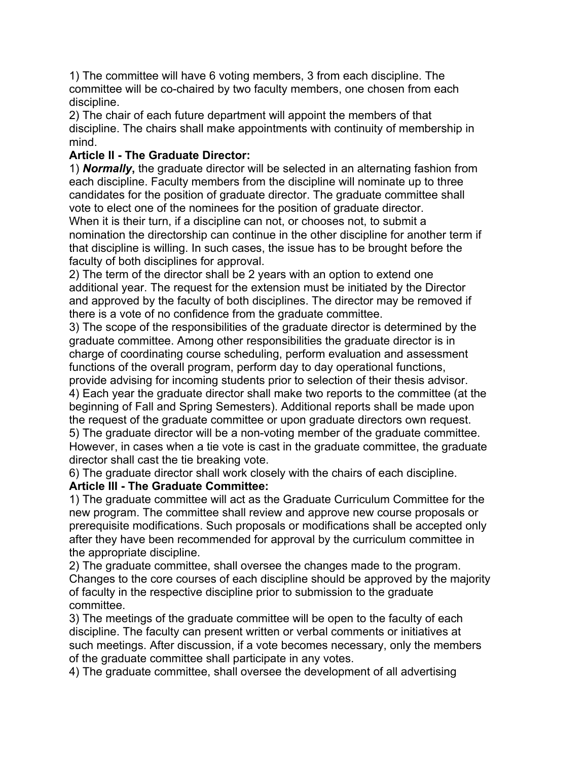1) The committee will have 6 voting members, 3 from each discipline. The committee will be co-chaired by two faculty members, one chosen from each discipline.

2) The chair of each future department will appoint the members of that discipline. The chairs shall make appointments with continuity of membership in mind.

#### **Article II - The Graduate Director:**

1) *Normally***,** the graduate director will be selected in an alternating fashion from each discipline. Faculty members from the discipline will nominate up to three candidates for the position of graduate director. The graduate committee shall vote to elect one of the nominees for the position of graduate director. When it is their turn, if a discipline can not, or chooses not, to submit a nomination the directorship can continue in the other discipline for another term if that discipline is willing. In such cases, the issue has to be brought before the faculty of both disciplines for approval.

2) The term of the director shall be 2 years with an option to extend one additional year. The request for the extension must be initiated by the Director and approved by the faculty of both disciplines. The director may be removed if there is a vote of no confidence from the graduate committee.

3) The scope of the responsibilities of the graduate director is determined by the graduate committee. Among other responsibilities the graduate director is in charge of coordinating course scheduling, perform evaluation and assessment functions of the overall program, perform day to day operational functions,

provide advising for incoming students prior to selection of their thesis advisor. 4) Each year the graduate director shall make two reports to the committee (at the beginning of Fall and Spring Semesters). Additional reports shall be made upon the request of the graduate committee or upon graduate directors own request. 5) The graduate director will be a non-voting member of the graduate committee.

However, in cases when a tie vote is cast in the graduate committee, the graduate director shall cast the tie breaking vote.

6) The graduate director shall work closely with the chairs of each discipline. **Article III - The Graduate Committee:** 

1) The graduate committee will act as the Graduate Curriculum Committee for the new program. The committee shall review and approve new course proposals or prerequisite modifications. Such proposals or modifications shall be accepted only after they have been recommended for approval by the curriculum committee in the appropriate discipline.

2) The graduate committee, shall oversee the changes made to the program. Changes to the core courses of each discipline should be approved by the majority of faculty in the respective discipline prior to submission to the graduate committee.

3) The meetings of the graduate committee will be open to the faculty of each discipline. The faculty can present written or verbal comments or initiatives at such meetings. After discussion, if a vote becomes necessary, only the members of the graduate committee shall participate in any votes.

4) The graduate committee, shall oversee the development of all advertising